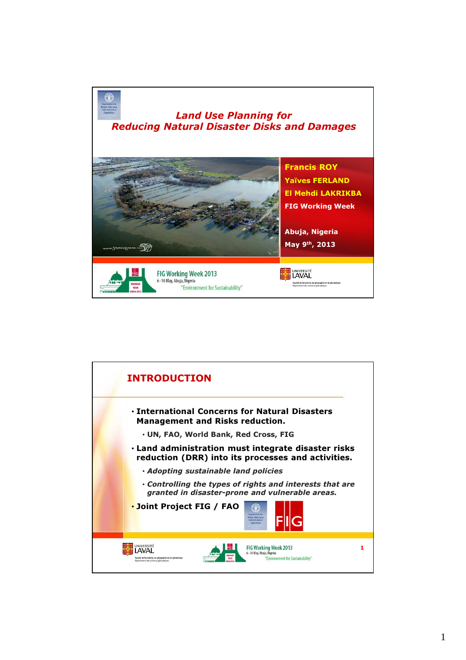

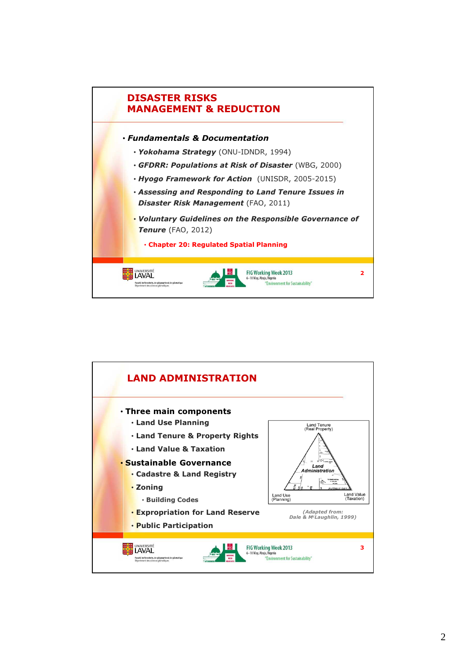

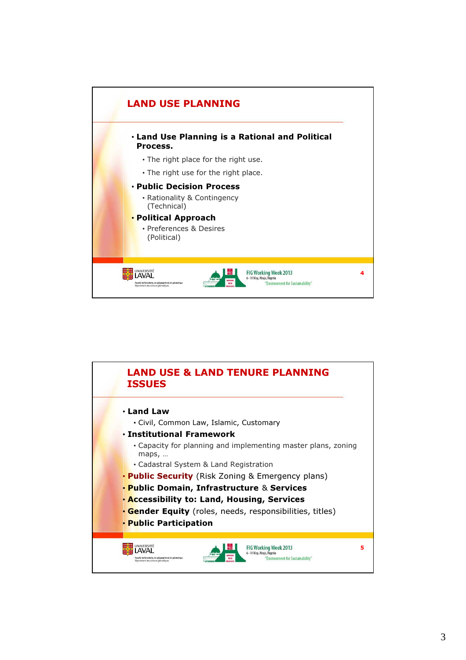

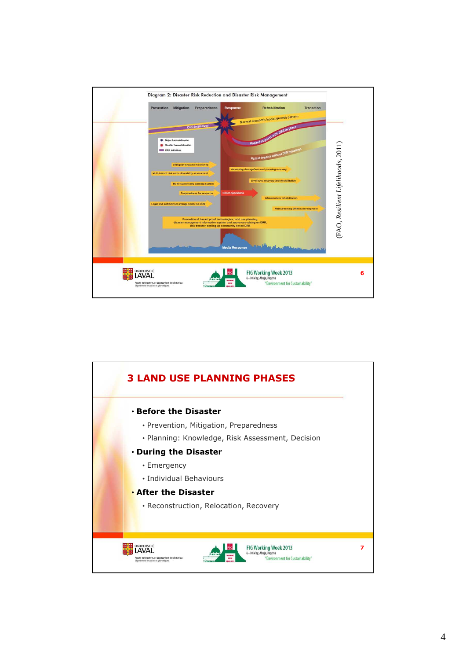

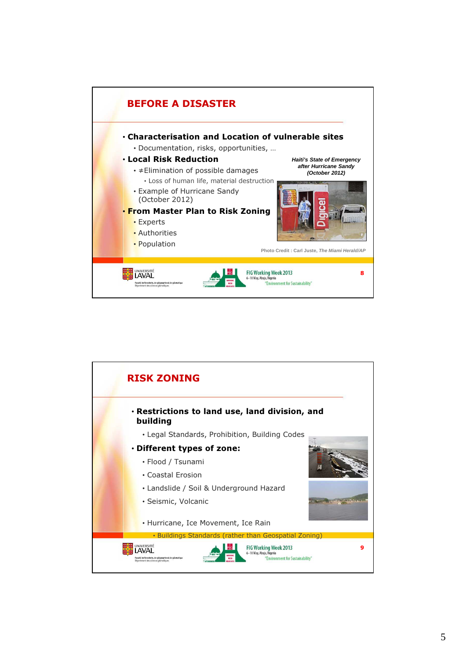

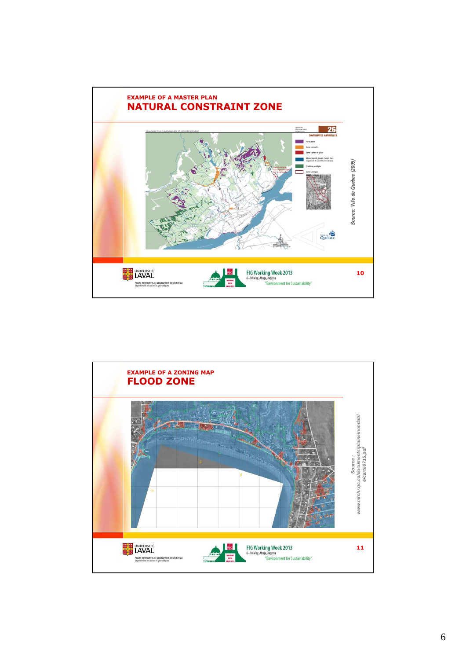

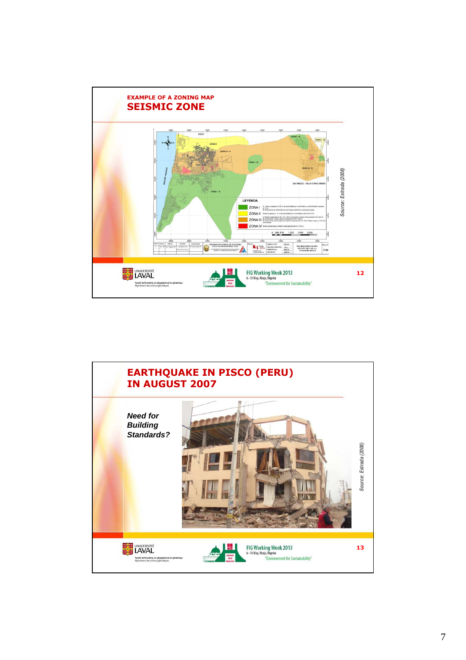

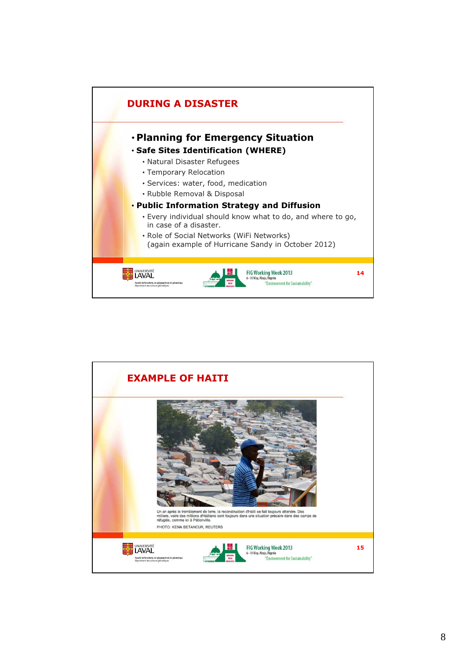

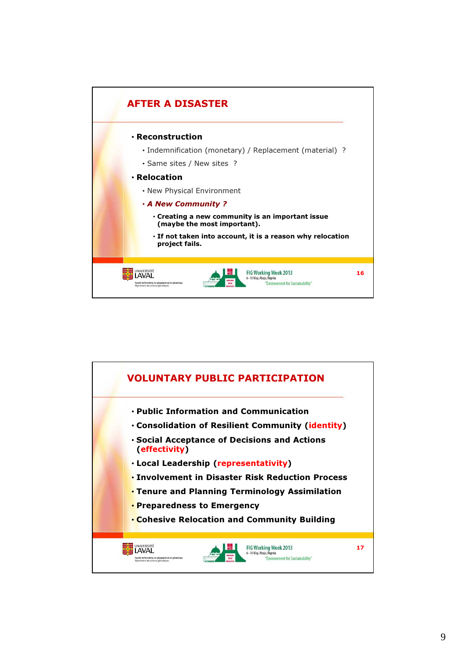